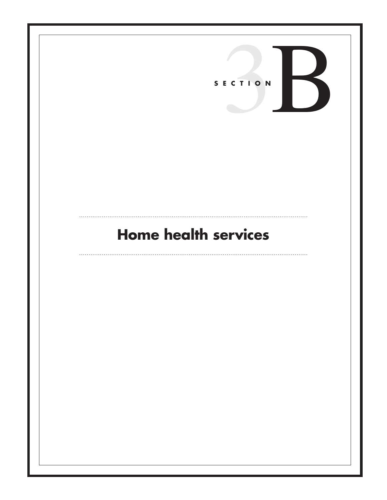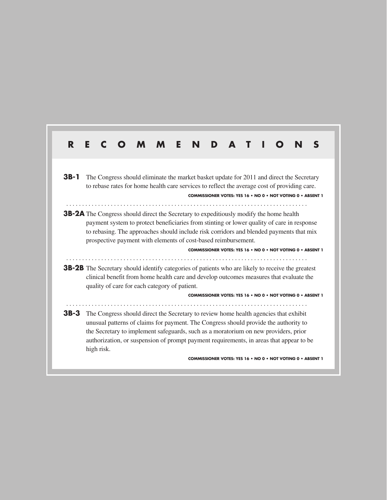# **R E C O M M E N D A T I O N S 3B-1** The Congress should eliminate the market basket update for 2011 and direct the Secretary to rebase rates for home health care services to reflect the average cost of providing care. **COMMISSIONER VOTES: YES 16 • NO 0 • NOT VOTING 0 • ABSENT 1 3B-2A** The Congress should direct the Secretary to expeditiously modify the home health payment system to protect beneficiaries from stinting or lower quality of care in response to rebasing. The approaches should include risk corridors and blended payments that mix prospective payment with elements of cost-based reimbursement. **COMMISSIONER VOTES: YES 16 • NO 0 • NOT VOTING 0 • ABSENT 1 3B-2B** The Secretary should identify categories of patients who are likely to receive the greatest clinical benefit from home health care and develop outcomes measures that evaluate the quality of care for each category of patient. **COMMISSIONER VOTES: YES 16 • NO 0 • NOT VOTING 0 • ABSENT 1 3B-3** The Congress should direct the Secretary to review home health agencies that exhibit unusual patterns of claims for payment. The Congress should provide the authority to the Secretary to implement safeguards, such as a moratorium on new providers, prior authorization, or suspension of prompt payment requirements, in areas that appear to be high risk. **COMMISSIONER VOTES: YES 16 • NO 0 • NOT VOTING 0 • ABSENT 1**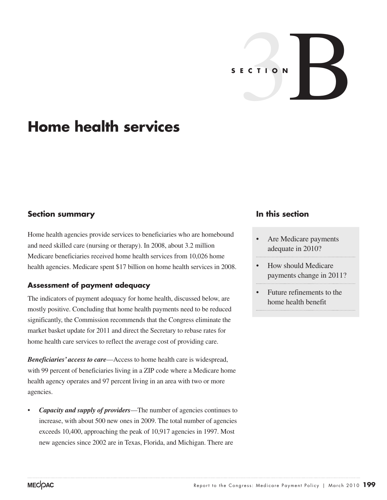# S E C T I O N

# **Home health services**

# **Section summary**

Home health agencies provide services to beneficiaries who are homebound and need skilled care (nursing or therapy). In 2008, about 3.2 million Medicare beneficiaries received home health services from 10,026 home health agencies. Medicare spent \$17 billion on home health services in 2008.

# **Assessment of payment adequacy**

The indicators of payment adequacy for home health, discussed below, are mostly positive. Concluding that home health payments need to be reduced significantly, the Commission recommends that the Congress eliminate the market basket update for 2011 and direct the Secretary to rebase rates for home health care services to reflect the average cost of providing care.

*Beneficiaries' access to care*—Access to home health care is widespread, with 99 percent of beneficiaries living in a ZIP code where a Medicare home health agency operates and 97 percent living in an area with two or more agencies.

• *Capacity and supply of providers*—The number of agencies continues to increase, with about 500 new ones in 2009. The total number of agencies exceeds 10,400, approaching the peak of 10,917 agencies in 1997. Most new agencies since 2002 are in Texas, Florida, and Michigan. There are

# **In this section**

- Are Medicare payments adequate in 2010?
- How should Medicare payments change in 2011?
- Future refinements to the home health benefit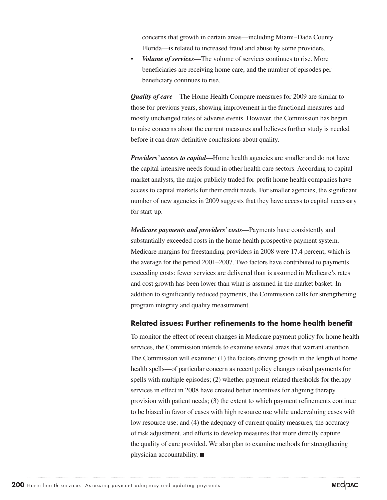concerns that growth in certain areas—including Miami–Dade County, Florida—is related to increased fraud and abuse by some providers.

• *Volume of services*—The volume of services continues to rise. More beneficiaries are receiving home care, and the number of episodes per beneficiary continues to rise.

*Quality of care*—The Home Health Compare measures for 2009 are similar to those for previous years, showing improvement in the functional measures and mostly unchanged rates of adverse events. However, the Commission has begun to raise concerns about the current measures and believes further study is needed before it can draw definitive conclusions about quality.

*Providers' access to capital—Home health agencies are smaller and do not have* the capital-intensive needs found in other health care sectors. According to capital market analysts, the major publicly traded for-profit home health companies have access to capital markets for their credit needs. For smaller agencies, the significant number of new agencies in 2009 suggests that they have access to capital necessary for start-up.

*Medicare payments and providers' costs*—Payments have consistently and substantially exceeded costs in the home health prospective payment system. Medicare margins for freestanding providers in 2008 were 17.4 percent, which is the average for the period 2001–2007. Two factors have contributed to payments exceeding costs: fewer services are delivered than is assumed in Medicare's rates and cost growth has been lower than what is assumed in the market basket. In addition to significantly reduced payments, the Commission calls for strengthening program integrity and quality measurement.

### **Related issues: Further refinements to the home health benefit**

To monitor the effect of recent changes in Medicare payment policy for home health services, the Commission intends to examine several areas that warrant attention. The Commission will examine: (1) the factors driving growth in the length of home health spells—of particular concern as recent policy changes raised payments for spells with multiple episodes; (2) whether payment-related thresholds for therapy services in effect in 2008 have created better incentives for aligning therapy provision with patient needs; (3) the extent to which payment refinements continue to be biased in favor of cases with high resource use while undervaluing cases with low resource use; and (4) the adequacy of current quality measures, the accuracy of risk adjustment, and efforts to develop measures that more directly capture the quality of care provided. We also plan to examine methods for strengthening physician accountability. ■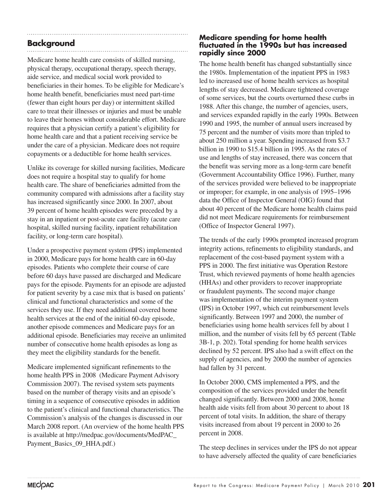# **Background**

Medicare home health care consists of skilled nursing, physical therapy, occupational therapy, speech therapy, aide service, and medical social work provided to beneficiaries in their homes. To be eligible for Medicare's home health benefit, beneficiaries must need part-time (fewer than eight hours per day) or intermittent skilled care to treat their illnesses or injuries and must be unable to leave their homes without considerable effort. Medicare requires that a physician certify a patient's eligibility for home health care and that a patient receiving service be under the care of a physician. Medicare does not require copayments or a deductible for home health services.

Unlike its coverage for skilled nursing facilities, Medicare does not require a hospital stay to qualify for home health care. The share of beneficiaries admitted from the community compared with admissions after a facility stay has increased significantly since 2000. In 2007, about 39 percent of home health episodes were preceded by a stay in an inpatient or post-acute care facility (acute care hospital, skilled nursing facility, inpatient rehabilitation facility, or long-term care hospital).

Under a prospective payment system (PPS) implemented in 2000, Medicare pays for home health care in 60-day episodes. Patients who complete their course of care before 60 days have passed are discharged and Medicare pays for the episode. Payments for an episode are adjusted for patient severity by a case mix that is based on patients' clinical and functional characteristics and some of the services they use. If they need additional covered home health services at the end of the initial 60-day episode, another episode commences and Medicare pays for an additional episode. Beneficiaries may receive an unlimited number of consecutive home health episodes as long as they meet the eligibility standards for the benefit.

Medicare implemented significant refinements to the home health PPS in 2008 (Medicare Payment Advisory Commission 2007). The revised system sets payments based on the number of therapy visits and an episode's timing in a sequence of consecutive episodes in addition to the patient's clinical and functional characteristics. The Commission's analysis of the changes is discussed in our March 2008 report. (An overview of the home health PPS is available at http://medpac.gov/documents/MedPAC\_ Payment\_Basics\_09\_HHA.pdf.)

### **Medicare spending for home health fluctuated in the 1990s but has increased rapidly since 2000**

The home health benefit has changed substantially since the 1980s. Implementation of the inpatient PPS in 1983 led to increased use of home health services as hospital lengths of stay decreased. Medicare tightened coverage of some services, but the courts overturned these curbs in 1988. After this change, the number of agencies, users, and services expanded rapidly in the early 1990s. Between 1990 and 1995, the number of annual users increased by 75 percent and the number of visits more than tripled to about 250 million a year. Spending increased from \$3.7 billion in 1990 to \$15.4 billion in 1995. As the rates of use and lengths of stay increased, there was concern that the benefit was serving more as a long-term care benefit (Government Accountability Office 1996). Further, many of the services provided were believed to be inappropriate or improper; for example, in one analysis of 1995–1996 data the Office of Inspector General (OIG) found that about 40 percent of the Medicare home health claims paid did not meet Medicare requirements for reimbursement (Office of Inspector General 1997).

The trends of the early 1990s prompted increased program integrity actions, refinements to eligibility standards, and replacement of the cost-based payment system with a PPS in 2000. The first initiative was Operation Restore Trust, which reviewed payments of home health agencies (HHAs) and other providers to recover inappropriate or fraudulent payments. The second major change was implementation of the interim payment system (IPS) in October 1997, which cut reimbursement levels significantly. Between 1997 and 2000, the number of beneficiaries using home health services fell by about 1 million, and the number of visits fell by 65 percent (Table 3B-1, p. 202). Total spending for home health services declined by 52 percent. IPS also had a swift effect on the supply of agencies, and by 2000 the number of agencies had fallen by 31 percent.

In October 2000, CMS implemented a PPS, and the composition of the services provided under the benefit changed significantly. Between 2000 and 2008, home health aide visits fell from about 30 percent to about 18 percent of total visits. In addition, the share of therapy visits increased from about 19 percent in 2000 to 26 percent in 2008.

The steep declines in services under the IPS do not appear to have adversely affected the quality of care beneficiaries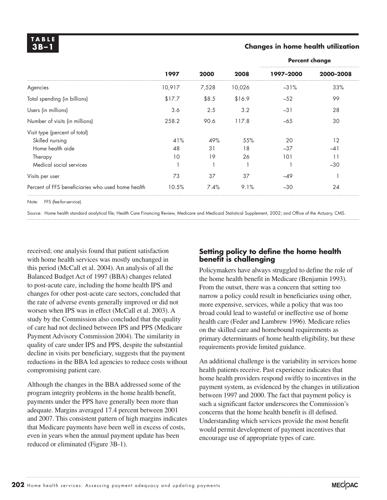### **3B –1 Changes in home health utilization**

|                                                   | 1997   | 2000  |        | <b>Percent change</b> |           |  |
|---------------------------------------------------|--------|-------|--------|-----------------------|-----------|--|
|                                                   |        |       | 2008   | 1997-2000             | 2000-2008 |  |
| Agencies                                          | 10,917 | 7,528 | 10,026 | $-31%$                | 33%       |  |
| Total spending (in billions)                      | \$17.7 | \$8.5 | \$16.9 | $-52$                 | 99        |  |
| Users (in millions)                               | 3.6    | 2.5   | 3.2    | $-31$                 | 28        |  |
| Number of visits (in millions)                    | 258.2  | 90.6  | 117.8  | $-65$                 | 30        |  |
| Visit type (percent of total)                     |        |       |        |                       |           |  |
| Skilled nursing                                   | 41%    | 49%   | 55%    | 20                    | 12        |  |
| Home health aide                                  | 48     | 31    | 18     | $-37$                 | $-41$     |  |
| Therapy                                           | 10     | 19    | 26     | 101                   | 11        |  |
| Medical social services                           |        |       |        |                       | $-30$     |  |
| Visits per user                                   | 73     | 37    | 37     | $-49$                 |           |  |
| Percent of FFS beneficiaries who used home health | 10.5%  | 7.4%  | 9.1%   | $-30$                 | 24        |  |

Note: FFS (fee-for-service).

Source: Home health standard analytical file; Health Care Financing Review, Medicare and Medicaid Statistical Supplement, 2002; and Office of the Actuary, CMS.

received; one analysis found that patient satisfaction with home health services was mostly unchanged in this period (McCall et al. 2004). An analysis of all the Balanced Budget Act of 1997 (BBA) changes related to post-acute care, including the home health IPS and changes for other post-acute care sectors, concluded that the rate of adverse events generally improved or did not worsen when IPS was in effect (McCall et al. 2003). A study by the Commission also concluded that the quality of care had not declined between IPS and PPS (Medicare Payment Advisory Commission 2004). The similarity in quality of care under IPS and PPS, despite the substantial decline in visits per beneficiary, suggests that the payment reductions in the BBA led agencies to reduce costs without compromising patient care.

Although the changes in the BBA addressed some of the program integrity problems in the home health benefit, payments under the PPS have generally been more than adequate. Margins averaged 17.4 percent between 2001 and 2007. This consistent pattern of high margins indicates that Medicare payments have been well in excess of costs, even in years when the annual payment update has been reduced or eliminated (Figure 3B-1).

### **Setting policy to define the home health benefit is challenging**

Policymakers have always struggled to define the role of the home health benefit in Medicare (Benjamin 1993). From the outset, there was a concern that setting too narrow a policy could result in beneficiaries using other, more expensive, services, while a policy that was too broad could lead to wasteful or ineffective use of home health care (Feder and Lambrew 1996). Medicare relies on the skilled care and homebound requirements as primary determinants of home health eligibility, but these requirements provide limited guidance.

An additional challenge is the variability in services home health patients receive. Past experience indicates that home health providers respond swiftly to incentives in the payment system, as evidenced by the changes in utilization between 1997 and 2000. The fact that payment policy is such a significant factor underscores the Commission's concerns that the home health benefit is ill defined. Understanding which services provide the most benefit would permit development of payment incentives that encourage use of appropriate types of care.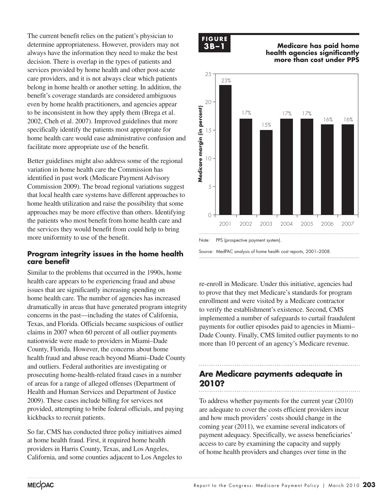The current benefit relies on the patient's physician to determine appropriateness. However, providers may not always have the information they need to make the best decision. There is overlap in the types of patients and services provided by home health and other post-acute care providers, and it is not always clear which patients belong in home health or another setting. In addition, the benefit's coverage standards are considered ambiguous even by home health practitioners, and agencies appear to be inconsistent in how they apply them (Brega et al. 2002, Cheh et al. 2007). Improved guidelines that more specifically identify the patients most appropriate for home health care would ease administrative confusion and facilitate more appropriate use of the benefit.

Better guidelines might also address some of the regional variation in home health care the Commission has identified in past work (Medicare Payment Advisory Commission 2009). The broad regional variations suggest that local health care systems have different approaches to home health utilization and raise the possibility that some approaches may be more effective than others. Identifying the patients who most benefit from home health care and the services they would benefit from could help to bring more uniformity to use of the benefit.

### **Program integrity issues in the home health care benefit**

Similar to the problems that occurred in the 1990s, home health care appears to be experiencing fraud and abuse issues that are significantly increasing spending on home health care. The number of agencies has increased dramatically in areas that have generated program integrity concerns in the past—including the states of California, Texas, and Florida. Officials became suspicious of outlier claims in 2007 when 60 percent of all outlier payments nationwide were made to providers in Miami–Dade County, Florida. However, the concerns about home health fraud and abuse reach beyond Miami–Dade County and outliers. Federal authorities are investigating or prosecuting home-health-related fraud cases in a number of areas for a range of alleged offenses (Department of Health and Human Services and Department of Justice 2009). These cases include billing for services not provided, attempting to bribe federal officials, and paying kickbacks to recruit patients.

So far, CMS has conducted three policy initiatives aimed at home health fraud. First, it required home health providers in Harris County, Texas, and Los Angeles, California, and some counties adjacent to Los Angeles to



**3B –1 Medicare has paid home Medicare has paid home health... FIGURE health agencies significantly more than cost under PPS**



Note: PPS (prospective payment system).

re-enroll in Medicare. Under this initiative, agencies had to prove that they met Medicare's standards for program to prove that they first included is standards for programment and were visited by a Medicare contractor to verify the establishment's existence. Second, CMS implemented a number of safeguards to curtail fraudulent payments for outlier episodes paid to agencies in Miami– payments for statier episodes paid to agencies in main.<br>Dade County. Finally, CMS limited outlier payments to no more than 10 percent of an agency's Medicare revenue.

## **Are Medicare payments adequate in 2010?** • Use paragraph styles (and object styles) to format.

To address whether payments for the current year (2010) are adequate to cover the costs efficient providers incur and how much providers' costs should change in the coming year (2011), we examine several indicators of payment adequacy. Specifically, we assess beneficiaries' access to care by examining the capacity and supply of home health providers and changes over time in the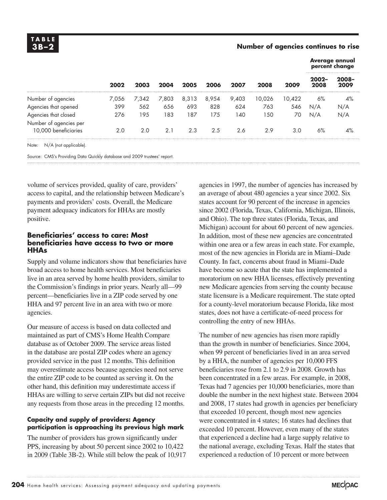**T A B L E**

### **3B –2 Number of agencies continues to rise**

| 2002  |       |       |       |       |       |        |        |                  |                  |  |  | <b>Average annual</b><br>percent change |
|-------|-------|-------|-------|-------|-------|--------|--------|------------------|------------------|--|--|-----------------------------------------|
|       | 2003  | 2004  | 2005  | 2006  | 2007  | 2008   | 2009   | $2002 -$<br>2008 | $2008 -$<br>2009 |  |  |                                         |
| 7.056 | 7.342 | 7,803 | 8,313 | 8,954 | 9,403 | 10,026 | 10.422 | 6%               | 4%               |  |  |                                         |
| 399   | 562   | 656   | 693   | 828   | 624   | 763    | 546    | N/A              | N/A              |  |  |                                         |
| 276   | 195   | 183   | 187   | 175   | 140   | 150    | 70     | N/A              | N/A              |  |  |                                         |
| 2.0   | 2.0   | 2.1   | 2.3   | 2.5   | 2.6   | 2.9    | 3.0    | $6\%$            | $4\%$            |  |  |                                         |
|       |       |       |       |       |       |        |        |                  |                  |  |  |                                         |

Note: N/A (not applicable).

Source: CMS's Providing Data Quickly database and 2009 trustees' report.

volume of services provided, quality of care, providers' access to capital, and the relationship between Medicare's payments and providers' costs. Overall, the Medicare payment adequacy indicators for HHAs are mostly positive.

### **Beneficiaries' access to care: Most beneficiaries have access to two or more HHAs**

Supply and volume indicators show that beneficiaries have broad access to home health services. Most beneficiaries live in an area served by home health providers, similar to the Commission's findings in prior years. Nearly all—99 percent—beneficiaries live in a ZIP code served by one HHA and 97 percent live in an area with two or more agencies.

Our measure of access is based on data collected and maintained as part of CMS's Home Health Compare database as of October 2009. The service areas listed in the database are postal ZIP codes where an agency provided service in the past 12 months. This definition may overestimate access because agencies need not serve the entire ZIP code to be counted as serving it. On the other hand, this definition may underestimate access if HHAs are willing to serve certain ZIPs but did not receive any requests from those areas in the preceding 12 months.

### **Capacity and supply of providers: Agency participation is approaching its previous high mark**

The number of providers has grown significantly under PPS, increasing by about 50 percent since 2002 to 10,422 in 2009 (Table 3B-2). While still below the peak of 10,917

agencies in 1997, the number of agencies has increased by an average of about 480 agencies a year since 2002. Six states account for 90 percent of the increase in agencies since 2002 (Florida, Texas, California, Michigan, Illinois, and Ohio). The top three states (Florida, Texas, and Michigan) account for about 60 percent of new agencies. In addition, most of these new agencies are concentrated within one area or a few areas in each state. For example, most of the new agencies in Florida are in Miami–Dade County. In fact, concerns about fraud in Miami–Dade have become so acute that the state has implemented a moratorium on new HHA licenses, effectively preventing new Medicare agencies from serving the county because state licensure is a Medicare requirement. The state opted for a county-level moratorium because Florida, like most states, does not have a certificate-of-need process for controlling the entry of new HHAs.

The number of new agencies has risen more rapidly than the growth in number of beneficiaries. Since 2004, when 99 percent of beneficiaries lived in an area served by a HHA, the number of agencies per 10,000 FFS beneficiaries rose from 2.1 to 2.9 in 2008. Growth has been concentrated in a few areas. For example, in 2008, Texas had 7 agencies per 10,000 beneficiaries, more than double the number in the next highest state. Between 2004 and 2008, 17 states had growth in agencies per beneficiary that exceeded 10 percent, though most new agencies were concentrated in 4 states; 16 states had declines that exceeded 10 percent. However, even many of the states that experienced a decline had a large supply relative to the national average, excluding Texas. Half the states that experienced a reduction of 10 percent or more between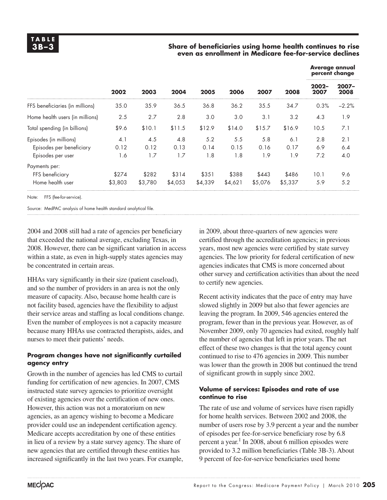### **3B –3 Share of beneficiaries using home health continues to rise even as enrollment in Medicare fee-for-service declines**

|                                 |         |         | 2004    | 2005    | 2006    | 2007    | 2008    | <b>Average annual</b><br>percent change |                  |  |
|---------------------------------|---------|---------|---------|---------|---------|---------|---------|-----------------------------------------|------------------|--|
|                                 | 2002    | 2003    |         |         |         |         |         | $2002 -$<br>2007                        | $2007 -$<br>2008 |  |
| FFS beneficiaries (in millions) | 35.0    | 35.9    | 36.5    | 36.8    | 36.2    | 35.5    | 34.7    | 0.3%                                    | $-2.2%$          |  |
| Home health users (in millions) | 2.5     | 2.7     | 2.8     | 3.0     | 3.0     | 3.1     | 3.2     | 4.3                                     | 1.9              |  |
| Total spending (in billions)    | \$9.6   | \$10.1  | \$11.5  | \$12.9  | \$14.0  | \$15.7  | \$16.9  | 10.5                                    | 7.1              |  |
| Episodes (in millions)          | 4.1     | 4.5     | 4.8     | 5.2     | 5.5     | 5.8     | 6.1     | 2.8                                     | 2.1              |  |
| Episodes per beneficiary        | 0.12    | 0.12    | 0.13    | 0.14    | 0.15    | 0.16    | 0.17    | 6.9                                     | 6.4              |  |
| Episodes per user               | 1.6     | 1.7     | 1.7     | 1.8     | 1.8     | 1.9     | 1.9     | 7.2                                     | 4.0              |  |
| Payments per:                   |         |         |         |         |         |         |         |                                         |                  |  |
| FFS beneficiary                 | \$274   | \$282   | \$314   | \$351   | \$388   | \$443   | \$486   | 10.1                                    | 9.6              |  |
| Home health user                | \$3,803 | \$3,780 | \$4,053 | \$4,339 | \$4,621 | \$5,076 | \$5,337 | 5.9                                     | 5.2              |  |
|                                 |         |         |         |         |         |         |         |                                         |                  |  |

Note: FFS (fee-for-service).

Source: MedPAC analysis of home health standard analytical file.

2004 and 2008 still had a rate of agencies per beneficiary that exceeded the national average, excluding Texas, in 2008. However, there can be significant variation in access within a state, as even in high-supply states agencies may be concentrated in certain areas.

HHAs vary significantly in their size (patient caseload), and so the number of providers in an area is not the only measure of capacity. Also, because home health care is not facility based, agencies have the flexibility to adjust their service areas and staffing as local conditions change. Even the number of employees is not a capacity measure because many HHAs use contracted therapists, aides, and nurses to meet their patients' needs.

### **Program changes have not significantly curtailed agency entry**

Growth in the number of agencies has led CMS to curtail funding for certification of new agencies. In 2007, CMS instructed state survey agencies to prioritize oversight of existing agencies over the certification of new ones. However, this action was not a moratorium on new agencies, as an agency wishing to become a Medicare provider could use an independent certification agency. Medicare accepts accreditation by one of these entities in lieu of a review by a state survey agency. The share of new agencies that are certified through these entities has increased significantly in the last two years. For example, in 2009, about three-quarters of new agencies were certified through the accreditation agencies; in previous years, most new agencies were certified by state survey agencies. The low priority for federal certification of new agencies indicates that CMS is more concerned about other survey and certification activities than about the need to certify new agencies.

Recent activity indicates that the pace of entry may have slowed slightly in 2009 but also that fewer agencies are leaving the program. In 2009, 546 agencies entered the program, fewer than in the previous year. However, as of November 2009, only 70 agencies had exited, roughly half the number of agencies that left in prior years. The net effect of these two changes is that the total agency count continued to rise to 476 agencies in 2009. This number was lower than the growth in 2008 but continued the trend of significant growth in supply since 2002.

### **Volume of services: Episodes and rate of use continue to rise**

The rate of use and volume of services have risen rapidly for home health services. Between 2002 and 2008, the number of users rose by 3.9 percent a year and the number of episodes per fee-for-service beneficiary rose by 6.8 percent a year.<sup>1</sup> In 2008, about 6 million episodes were provided to 3.2 million beneficiaries (Table 3B-3). About 9 percent of fee-for-service beneficiaries used home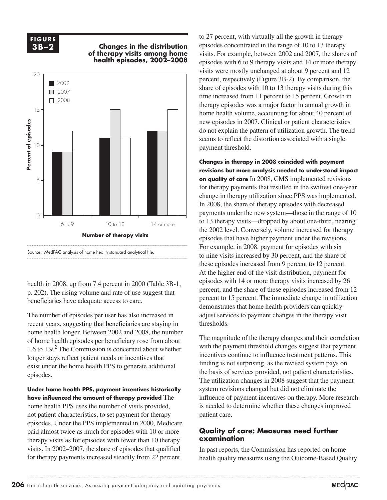### **F I G U R E 3B-2**

### **3B –2 Changes in the distribution Changes in the distribution... FIGURE of therapy visits among home health episodes, 2002–2008**



health in 2008, up from 7.4 percent in 2000 (Table 3B-1, p. 202). The rising volume and rate of use suggest that beneficiaries have adequate access to care.

The number of episodes per user has also increased in recent years, suggesting that beneficiaries are staying in home health longer. Between 2002 and 2008, the number **Figure 1. In the setting when I changed** and it is lines because they kept resetting when I changed any data. of home health episodes per beneficiary rose from about 1.6 to  $1.9<sup>2</sup>$  The Commission is concerned about whether longer stays reflect patient needs or incentives that exist under the home health PPS to generate additional finding is episodes.

**Under home health PPS, payment incentives historically have influenced the amount of therapy provided** The home health PPS uses the number of visits provided, not patient characteristics, to set payment for therapy episodes. Under the PPS implemented in 2000, Medicare paid almost twice as much for episodes with 10 or more therapy visits as for episodes with fewer than 10 therapy visits. In 2002–2007, the share of episodes that qualified for therapy payments increased steadily from 22 percent

to 27 percent, with virtually all the growth in therapy episodes concentrated in the range of 10 to 13 therapy visits. For example, between 2002 and 2007, the shares of episodes with 6 to 9 therapy visits and 14 or more therapy visits were mostly unchanged at about 9 percent and 12 percent, respectively (Figure 3B-2). By comparison, the share of episodes with 10 to 13 therapy visits during this time increased from 11 percent to 15 percent. Growth in therapy episodes was a major factor in annual growth in home health volume, accounting for about 40 percent of new episodes in 2007. Clinical or patient characteristics 2002 do not explain the pattern of utilization growth. The trend seems to reflect the distortion associated with a single payment threshold.

**Changes in therapy in 2008 coincided with payment revisions but more analysis needed to understand impact on quality of care** In 2008, CMS implemented revisions for therapy payments that resulted in the swiftest one-year change in therapy utilization since PPS was implemented. In 2008, the share of therapy episodes with decreased payments under the new system—those in the range of 10 to 13 therapy visits—dropped by about one-third, nearing the 2002 level. Conversely, volume increased for therapy episodes that have higher payment under the revisions. For example, in 2008, payment for episodes with six to nine visits increased by 30 percent, and the share of these episodes increased from 9 percent to 12 percent. At the higher end of the visit distribution, payment for episodes with 14 or more therapy visits increased by 26 percent, and the share of these episodes increased from 12 percent to 15 percent. The immediate change in utilization demonstrates that home health providers can quickly adjust services to payment changes in the therapy visit thresholds.

The magnitude of the therapy changes and their correlation  $\frac{1}{100}$  changes one of the payment threshold changes suggest that payment  $\frac{1}{100}$ . The Commission is concerned about whether with the payment threshold changes suggest that payment incentives continue to influence treatment patterns. This finding is not surprising, as the revised system pays on the basis of services provided, not patient characteristics. The utilization changes in 2008 suggest that the payment system revisions changed but did not eliminate the influence of payment incentives on therapy. More research is needed to determine whether these changes improved patient care.

### **Quality of care: Measures need further examination**

In past reports, the Commission has reported on home health quality measures using the Outcome-Based Quality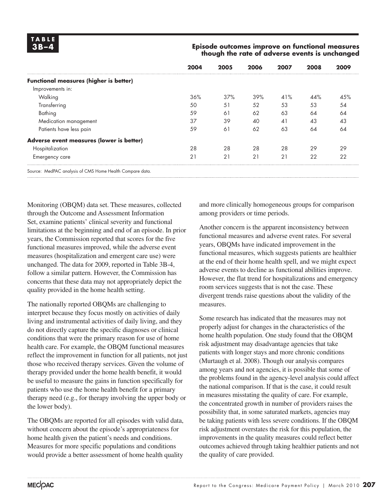### **3B –4 Episode outcomes improve on functional measures though the rate of adverse events is unchanged**

|                                               | 2004 | 2005           | 2006 | 2007     | 2008 | 2009 |
|-----------------------------------------------|------|----------------|------|----------|------|------|
| <b>Functional measures (higher is better)</b> |      |                |      |          |      |      |
| Improvements in:                              |      |                |      |          |      |      |
| Walking                                       | 36%  | 37%            | 39%  | 41%      | 44%  | 4.5% |
| Transferring                                  | 50   | 51             | 52   | 53       | 53   | 54   |
| Bathing                                       | 59   | 61             | 62   | 63       | 64   | 64   |
| Medication management                         | 37   | 39             | 40   | $\Delta$ | 43   | 43   |
| Patients have less pain                       | 59   | 6 <sup>1</sup> | 62   | 63       | 64   | 64   |
| Adverse event measures (lower is better)      |      |                |      |          |      |      |
| Hospitalization                               | 28   | 28             | 28   | 28       | 29   | 29   |
| Emergency care                                | 21   | 21             | 21   | 21       | 22   | 22   |

Source: MedPAC analysis of CMS Home Health Compare data.

Monitoring (OBQM) data set. These measures, collected through the Outcome and Assessment Information Set, examine patients' clinical severity and functional limitations at the beginning and end of an episode. In prior years, the Commission reported that scores for the five functional measures improved, while the adverse event measures (hospitalization and emergent care use) were unchanged. The data for 2009, reported in Table 3B-4, follow a similar pattern. However, the Commission has concerns that these data may not appropriately depict the quality provided in the home health setting.

The nationally reported OBQMs are challenging to interpret because they focus mostly on activities of daily living and instrumental activities of daily living, and they do not directly capture the specific diagnoses or clinical conditions that were the primary reason for use of home health care. For example, the OBQM functional measures reflect the improvement in function for all patients, not just those who received therapy services. Given the volume of therapy provided under the home health benefit, it would be useful to measure the gains in function specifically for patients who use the home health benefit for a primary therapy need (e.g., for therapy involving the upper body or the lower body).

The OBQMs are reported for all episodes with valid data, without concern about the episode's appropriateness for home health given the patient's needs and conditions. Measures for more specific populations and conditions would provide a better assessment of home health quality

and more clinically homogeneous groups for comparison among providers or time periods.

Another concern is the apparent inconsistency between functional measures and adverse event rates. For several years, OBQMs have indicated improvement in the functional measures, which suggests patients are healthier at the end of their home health spell, and we might expect adverse events to decline as functional abilities improve. However, the flat trend for hospitalizations and emergency room services suggests that is not the case. These divergent trends raise questions about the validity of the measures.

Some research has indicated that the measures may not properly adjust for changes in the characteristics of the home health population. One study found that the OBQM risk adjustment may disadvantage agencies that take patients with longer stays and more chronic conditions (Murtaugh et al. 2008). Though our analysis compares among years and not agencies, it is possible that some of the problems found in the agency-level analysis could affect the national comparison. If that is the case, it could result in measures misstating the quality of care. For example, the concentrated growth in number of providers raises the possibility that, in some saturated markets, agencies may be taking patients with less severe conditions. If the OBQM risk adjustment overstates the risk for this population, the improvements in the quality measures could reflect better outcomes achieved through taking healthier patients and not the quality of care provided.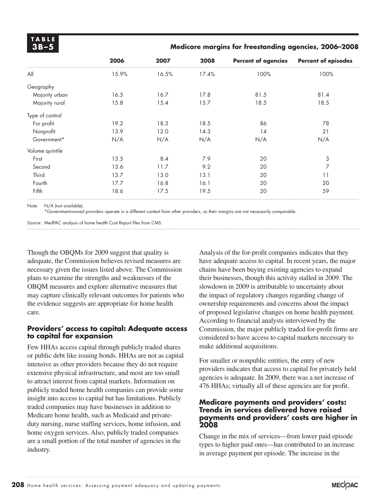**T A B L E**

### **3B –5 Medicare margins for freestanding agencies, 2006–2008**

| All             | 15.9% | 16.5% | 17.4% |      |      |
|-----------------|-------|-------|-------|------|------|
| Geography       |       |       |       | 100% | 100% |
|                 |       |       |       |      |      |
| Majority urban  | 16.5  | 16.7  | 17.8  | 81.5 | 81.4 |
| Majority rural  | 15.8  | 15.4  | 15.7  | 18.5 | 18.5 |
| Type of control |       |       |       |      |      |
| For profit      | 19.2  | 18.3  | 18.5  | 86   | 78   |
| Nonprofit       | 13.9  | 12.0  | 14.3  | 14   | 21   |
| Government*     | N/A   | N/A   | N/A   | N/A  | N/A  |
| Volume quintile |       |       |       |      |      |
| First           | 13.5  | 8.4   | 7.9   | 20   | 3    |
| Second          | 13.6  | 11.7  | 9.2   | 20   | 7    |
| Third           | 13.7  | 13.0  | 13.1  | 20   | 11   |
| Fourth          | 17.7  | 16.8  | 16.1  | 20   | 20   |
| Fifth           | 18.6  | 17.5  | 19.5  | 20   | 59   |

Note: N/A (not available).

\*Government-owned providers operate in a different context from other providers, so their margins are not necessarily comparable.

Source: MedPAC analysis of home health Cost Report files from CMS.

Though the OBQMs for 2009 suggest that quality is adequate, the Commission believes revised measures are necessary given the issues listed above. The Commission plans to examine the strengths and weaknesses of the OBQM measures and explore alternative measures that may capture clinically relevant outcomes for patients who the evidence suggests are appropriate for home health care.

### **Providers' access to capital: Adequate access to capital for expansion**

Few HHAs access capital through publicly traded shares or public debt like issuing bonds. HHAs are not as capital intensive as other providers because they do not require extensive physical infrastructure, and most are too small to attract interest from capital markets. Information on publicly traded home health companies can provide some insight into access to capital but has limitations. Publicly traded companies may have businesses in addition to Medicare home health, such as Medicaid and privateduty nursing, nurse staffing services, home infusion, and home oxygen services. Also, publicly traded companies are a small portion of the total number of agencies in the industry.

Analysis of the for-profit companies indicates that they have adequate access to capital. In recent years, the major chains have been buying existing agencies to expand their businesses, though this activity stalled in 2009. The slowdown in 2009 is attributable to uncertainty about the impact of regulatory changes regarding change of ownership requirements and concerns about the impact of proposed legislative changes on home health payment. According to financial analysts interviewed by the Commission, the major publicly traded for-profit firms are considered to have access to capital markets necessary to make additional acquisitions.

For smaller or nonpublic entities, the entry of new providers indicates that access to capital for privately held agencies is adequate. In 2009, there was a net increase of 476 HHAs; virtually all of these agencies are for profit.

### **Medicare payments and providers' costs: Trends in services delivered have raised payments and providers' costs are higher in 2008**

Change in the mix of services—from lower paid episode types to higher paid ones—has contributed to an increase in average payment per episode. The increase in the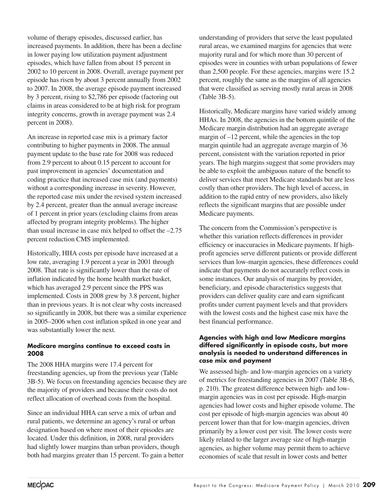volume of therapy episodes, discussed earlier, has increased payments. In addition, there has been a decline in lower paying low utilization payment adjustment episodes, which have fallen from about 15 percent in 2002 to 10 percent in 2008. Overall, average payment per episode has risen by about 3 percent annually from 2002 to 2007. In 2008, the average episode payment increased by 3 percent, rising to \$2,786 per episode (factoring out claims in areas considered to be at high risk for program integrity concerns, growth in average payment was 2.4 percent in 2008).

An increase in reported case mix is a primary factor contributing to higher payments in 2008. The annual payment update to the base rate for 2008 was reduced from 2.9 percent to about 0.15 percent to account for past improvement in agencies' documentation and coding practice that increased case mix (and payments) without a corresponding increase in severity. However, the reported case mix under the revised system increased by 2.4 percent, greater than the annual average increase of 1 percent in prior years (excluding claims from areas affected by program integrity problems). The higher than usual increase in case mix helped to offset the –2.75 percent reduction CMS implemented.

Historically, HHA costs per episode have increased at a low rate, averaging 1.9 percent a year in 2001 through 2008. That rate is significantly lower than the rate of inflation indicated by the home health market basket, which has averaged 2.9 percent since the PPS was implemented. Costs in 2008 grew by 3.8 percent, higher than in previous years. It is not clear why costs increased so significantly in 2008, but there was a similar experience in 2005–2006 when cost inflation spiked in one year and was substantially lower the next.

### **Medicare margins continue to exceed costs in 2008**

The 2008 HHA margins were 17.4 percent for freestanding agencies, up from the previous year (Table 3B-5). We focus on freestanding agencies because they are the majority of providers and because their costs do not reflect allocation of overhead costs from the hospital.

Since an individual HHA can serve a mix of urban and rural patients, we determine an agency's rural or urban designation based on where most of their episodes are located. Under this definition, in 2008, rural providers had slightly lower margins than urban providers, though both had margins greater than 15 percent. To gain a better

understanding of providers that serve the least populated rural areas, we examined margins for agencies that were majority rural and for which more than 30 percent of episodes were in counties with urban populations of fewer than 2,500 people. For these agencies, margins were 15.2 percent, roughly the same as the margins of all agencies that were classified as serving mostly rural areas in 2008 (Table 3B-5).

Historically, Medicare margins have varied widely among HHAs. In 2008, the agencies in the bottom quintile of the Medicare margin distribution had an aggregate average margin of –12 percent, while the agencies in the top margin quintile had an aggregate average margin of 36 percent, consistent with the variation reported in prior years. The high margins suggest that some providers may be able to exploit the ambiguous nature of the benefit to deliver services that meet Medicare standards but are less costly than other providers. The high level of access, in addition to the rapid entry of new providers, also likely reflects the significant margins that are possible under Medicare payments.

The concern from the Commission's perspective is whether this variation reflects differences in provider efficiency or inaccuracies in Medicare payments. If highprofit agencies serve different patients or provide different services than low-margin agencies, these differences could indicate that payments do not accurately reflect costs in some instances. Our analysis of margins by provider, beneficiary, and episode characteristics suggests that providers can deliver quality care and earn significant profits under current payment levels and that providers with the lowest costs and the highest case mix have the best financial performance.

### **Agencies with high and low Medicare margins differed significantly in episode costs, but more analysis is needed to understand differences in case mix and payment**

We assessed high- and low-margin agencies on a variety of metrics for freestanding agencies in 2007 (Table 3B-6, p. 210). The greatest difference between high- and lowmargin agencies was in cost per episode. High-margin agencies had lower costs and higher episode volume. The cost per episode of high-margin agencies was about 40 percent lower than that for low-margin agencies, driven primarily by a lower cost per visit. The lower costs were likely related to the larger average size of high-margin agencies, as higher volume may permit them to achieve economies of scale that result in lower costs and better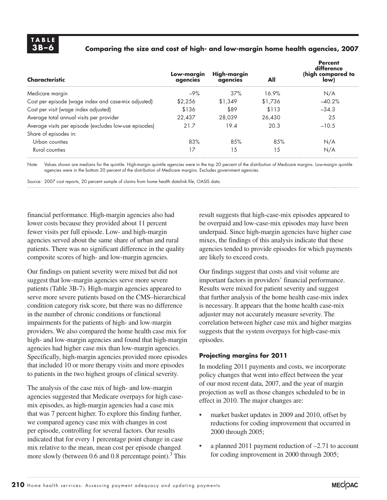### **3B –6 Comparing the size and cost of high- and low-margin home health agencies, 2007**

| Characteristic                                         | Low-margin<br>agencies | High-margin<br>agencies | All     | Percent<br>difference<br>(high compared to<br>low) |
|--------------------------------------------------------|------------------------|-------------------------|---------|----------------------------------------------------|
| Medicare margin                                        | $-9%$                  | 37%                     | 16.9%   | N/A                                                |
| Cost per episode (wage index and case-mix adjusted)    | \$2.256                | \$1.349                 | \$1.736 | $-40.2%$                                           |
| Cost per visit (wage index adjusted)                   | \$136                  | \$89                    | \$113   | $-34.3$                                            |
| Average total annual visits per provider               | 22.437                 | 28,039                  | 26.430  | 25                                                 |
| Average visits per episode (excludes low-use episodes) | 21.7                   | 19.4                    | 20.3    | $-10.5$                                            |
| Share of episodes in:                                  |                        |                         |         |                                                    |
| Urban counties                                         | 83%                    | 8.5%                    | 85%     | N/A                                                |
| Rural counties                                         |                        | 15                      | 15      | N/A                                                |

Note: Values shown are medians for the quintile. High-margin quintile agencies were in the top 20 percent of the distribution of Medicare margins. Low-margin quintile agencies were in the bottom 20 percent of the distribution of Medicare margins. Excludes government agencies.

Source: 2007 cost reports, 20 percent sample of claims from home health datalink file, OASIS data.

financial performance. High-margin agencies also had lower costs because they provided about 11 percent fewer visits per full episode. Low- and high-margin agencies served about the same share of urban and rural patients. There was no significant difference in the quality composite scores of high- and low-margin agencies.

Our findings on patient severity were mixed but did not suggest that low-margin agencies serve more severe patients (Table 3B-7). High-margin agencies appeared to serve more severe patients based on the CMS–hierarchical condition category risk score, but there was no difference in the number of chronic conditions or functional impairments for the patients of high- and low-margin providers. We also compared the home health case mix for high- and low-margin agencies and found that high-margin agencies had higher case mix than low-margin agencies. Specifically, high-margin agencies provided more episodes that included 10 or more therapy visits and more episodes to patients in the two highest groups of clinical severity.

The analysis of the case mix of high- and low-margin agencies suggested that Medicare overpays for high casemix episodes, as high-margin agencies had a case mix that was 7 percent higher. To explore this finding further, we compared agency case mix with changes in cost per episode, controlling for several factors. Our results indicated that for every 1 percentage point change in case mix relative to the mean, mean cost per episode changed more slowly (between 0.6 and 0.8 percentage point).<sup>3</sup> This

result suggests that high-case-mix episodes appeared to be overpaid and low-case-mix episodes may have been underpaid. Since high-margin agencies have higher case mixes, the findings of this analysis indicate that these agencies tended to provide episodes for which payments are likely to exceed costs.

Our findings suggest that costs and visit volume are important factors in providers' financial performance. Results were mixed for patient severity and suggest that further analysis of the home health case-mix index is necessary. It appears that the home health case-mix adjuster may not accurately measure severity. The correlation between higher case mix and higher margins suggests that the system overpays for high-case-mix episodes.

### **Projecting margins for 2011**

In modeling 2011 payments and costs, we incorporate policy changes that went into effect between the year of our most recent data, 2007, and the year of margin projection as well as those changes scheduled to be in effect in 2010. The major changes are:

- market basket updates in 2009 and 2010, offset by reductions for coding improvement that occurred in 2000 through 2005;
- a planned 2011 payment reduction of  $-2.71$  to account for coding improvement in 2000 through 2005;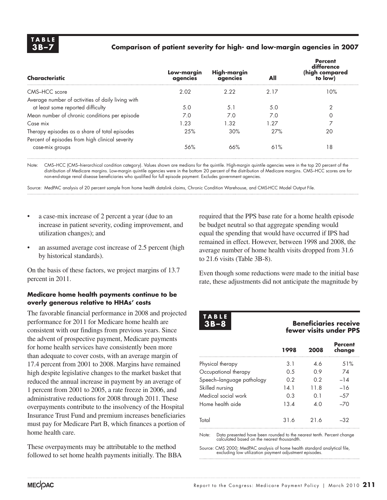### **3B –7 Comparison of patient severity for high- and low-margin agencies in 2007**

| Characteristic                                    | Low-margin<br>agencies | High-margin<br>agencies | All  | <b>Percent</b><br>difference<br>(high compared<br>to low) |
|---------------------------------------------------|------------------------|-------------------------|------|-----------------------------------------------------------|
| CMS-HCC score                                     | 2.02                   | 2.22                    | 2.17 | 10%                                                       |
| Average number of activities of daily living with |                        |                         |      |                                                           |
| at least some reported difficulty                 | 5.0                    | 5.1                     | 5.0  | 2                                                         |
| Mean number of chronic conditions per episode     | 7.0                    | 7.0                     | 7.0  | 0                                                         |
| Case mix                                          | 1.23                   | 1.32                    | 1.27 | 7                                                         |
| Therapy episodes as a share of total episodes     | 25%                    | 30%                     | 27%  | 20                                                        |
| Percent of episodes from high clinical severity   |                        |                         |      |                                                           |
| case-mix groups                                   | 56%                    | 66%                     | 61%  | 18                                                        |

Note: CMS–HCC (CMS–hierarchical condition category). Values shown are medians for the quintile. High-margin quintile agencies were in the top 20 percent of the distribution of Medicare margins. Low-margin quintile agencies were in the bottom 20 percent of the distribution of Medicare margins. CMS–HCC scores are for non-end-stage renal disease beneficiaries who qualified for full episode payment. Excludes government agencies.

Source: MedPAC analysis of 20 percent sample from home health datalink claims, Chronic Condition Warehouse, and CMS-HCC Model Output File.

- a case-mix increase of 2 percent a year (due to an increase in patient severity, coding improvement, and utilization changes); and
- an assumed average cost increase of 2.5 percent (high by historical standards).

On the basis of these factors, we project margins of 13.7 percent in 2011.

### **Medicare home health payments continue to be overly generous relative to HHAs' costs**

The favorable financial performance in 2008 and projected performance for 2011 for Medicare home health are consistent with our findings from previous years. Since the advent of prospective payment, Medicare payments for home health services have consistently been more than adequate to cover costs, with an average margin of 17.4 percent from 2001 to 2008. Margins have remained high despite legislative changes to the market basket that reduced the annual increase in payment by an average of 1 percent from 2001 to 2005, a rate freeze in 2006, and administrative reductions for 2008 through 2011. These overpayments contribute to the insolvency of the Hospital Insurance Trust Fund and premium increases beneficiaries must pay for Medicare Part B, which finances a portion of home health care.

These overpayments may be attributable to the method followed to set home health payments initially. The BBA

required that the PPS base rate for a home health episode be budget neutral so that aggregate spending would equal the spending that would have occurred if IPS had remained in effect. However, between 1998 and 2008, the average number of home health visits dropped from 31.6 to 21.6 visits (Table 3B-8).

Even though some reductions were made to the initial base rate, these adjustments did not anticipate the magnitude by

**T A B L E**

### **3B –8 Beneficiaries receive fewer visits under PPS**

|                           | 1998 | 2008 | <b>Percent</b><br>change |
|---------------------------|------|------|--------------------------|
| Physical therapy          | 3.1  | 4.6  | 51%                      |
| Occupational therapy      | 0.5  | 09   | 74                       |
| Speech-language pathology | 0.2  | 0.2  | $-14$                    |
| Skilled nursing           | 14.1 | 11.8 | $-16$                    |
| Medical social work       | 0.3  | O 1  | $-57$                    |
| Home health aide          | 13.4 | 4.0  | $-70$                    |
| Total                     | 31.6 | 216  | -32                      |

Note: Data presented have been rounded to the nearest tenth. Percent change calculated based on the nearest thousandth.

Source: CMS 2000; MedPAC analysis of home health standard analytical file, excluding low utilization payment adjustment episodes.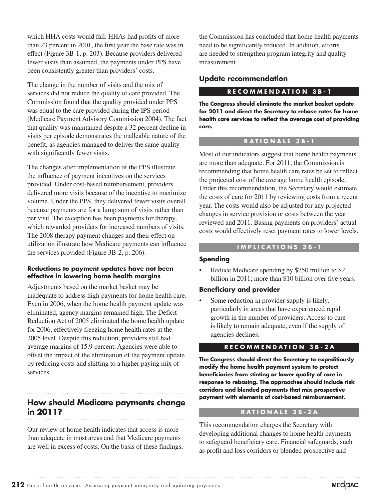which HHA costs would fall. HHAs had profits of more than 23 percent in 2001, the first year the base rate was in effect (Figure 3B-1, p. 203). Because providers delivered fewer visits than assumed, the payments under PPS have been consistently greater than providers' costs.

The change in the number of visits and the mix of services did not reduce the quality of care provided. The Commission found that the quality provided under PPS was equal to the care provided during the IPS period (Medicare Payment Advisory Commission 2004). The fact that quality was maintained despite a 32 percent decline in visits per episode demonstrates the malleable nature of the benefit, as agencies managed to deliver the same quality with significantly fewer visits.

The changes after implementation of the PPS illustrate the influence of payment incentives on the services provided. Under cost-based reimbursement, providers delivered more visits because of the incentive to maximize volume. Under the PPS, they delivered fewer visits overall because payments are for a lump sum of visits rather than per visit. The exception has been payments for therapy, which rewarded providers for increased numbers of visits. The 2008 therapy payment changes and their effect on utilization illustrate how Medicare payments can influence the services provided (Figure 3B-2, p. 206).

### **Reductions to payment updates have not been effective in lowering home health margins**

Adjustments based on the market basket may be inadequate to address high payments for home health care. Even in 2006, when the home health payment update was eliminated, agency margins remained high. The Deficit Reduction Act of 2005 eliminated the home health update for 2006, effectively freezing home health rates at the 2005 level. Despite this reduction, providers still had average margins of 15.9 percent. Agencies were able to offset the impact of the elimination of the payment update by reducing costs and shifting to a higher paying mix of services.

# **How should Medicare payments change in 2011?**

Our review of home health indicates that access is more than adequate in most areas and that Medicare payments are well in excess of costs. On the basis of these findings,

the Commission has concluded that home health payments need to be significantly reduced. In addition, efforts are needed to strengthen program integrity and quality measurement.

### **Update recommendation**

### **R E C O M M E N D A T I O N 3 B - 1**

**The Congress should eliminate the market basket update for 2011 and direct the Secretary to rebase rates for home health care services to reflect the average cost of providing care.** 

### **R A T I O N A L E 3 B - 1**

Most of our indicators suggest that home health payments are more than adequate. For 2011, the Commission is recommending that home health care rates be set to reflect the projected cost of the average home health episode. Under this recommendation, the Secretary would estimate the costs of care for 2011 by reviewing costs from a recent year. The costs would also be adjusted for any projected changes in service provision or costs between the year reviewed and 2011. Basing payments on providers' actual costs would effectively reset payment rates to lower levels.

### **I M P L I C A T I O N S 3 B - 1**

### **Spending**

Reduce Medicare spending by \$750 million to \$2 billion in 2011; more than \$10 billion over five years.

### **Beneficiary and provider**

Some reduction in provider supply is likely, particularly in areas that have experienced rapid growth in the number of providers. Access to care is likely to remain adequate, even if the supply of agencies declines.

### **R E C O M M E N D A T I O N 3 B - 2 A**

**The Congress should direct the Secretary to expeditiously modify the home health payment system to protect beneficiaries from stinting or lower quality of care in response to rebasing. The approaches should include risk corridors and blended payments that mix prospective payment with elements of cost-based reimbursement.** 

### **R A T I O N A L E 3 B - 2 A**

This recommendation charges the Secretary with developing additional changes to home health payments to safeguard beneficiary care. Financial safeguards, such as profit and loss corridors or blended prospective and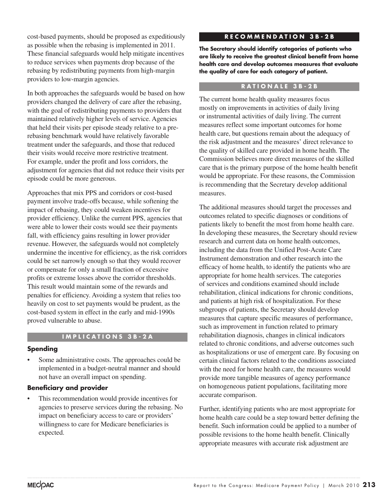cost-based payments, should be proposed as expeditiously as possible when the rebasing is implemented in 2011. These financial safeguards would help mitigate incentives to reduce services when payments drop because of the rebasing by redistributing payments from high-margin providers to low-margin agencies.

In both approaches the safeguards would be based on how providers changed the delivery of care after the rebasing, with the goal of redistributing payments to providers that maintained relatively higher levels of service. Agencies that held their visits per episode steady relative to a prerebasing benchmark would have relatively favorable treatment under the safeguards, and those that reduced their visits would receive more restrictive treatment. For example, under the profit and loss corridors, the adjustment for agencies that did not reduce their visits per episode could be more generous.

Approaches that mix PPS and corridors or cost-based payment involve trade-offs because, while softening the impact of rebasing, they could weaken incentives for provider efficiency. Unlike the current PPS, agencies that were able to lower their costs would see their payments fall, with efficiency gains resulting in lower provider revenue. However, the safeguards would not completely undermine the incentive for efficiency, as the risk corridors could be set narrowly enough so that they would recover or compensate for only a small fraction of excessive profits or extreme losses above the corridor thresholds. This result would maintain some of the rewards and penalties for efficiency. Avoiding a system that relies too heavily on cost to set payments would be prudent, as the cost-based system in effect in the early and mid-1990s proved vulnerable to abuse.

### **I M P L I C A T I O N S 3 B - 2 A**

### **Spending**

Some administrative costs. The approaches could be implemented in a budget-neutral manner and should not have an overall impact on spending.

### **Beneficiary and provider**

This recommendation would provide incentives for agencies to preserve services during the rebasing. No impact on beneficiary access to care or providers' willingness to care for Medicare beneficiaries is expected.

### **R E C O M M E N D A T I O N 3 B - 2 B**

**The Secretary should identify categories of patients who are likely to receive the greatest clinical benefit from home health care and develop outcomes measures that evaluate the quality of care for each category of patient.** 

### **R A T I O N A L E 3 B - 2 B**

The current home health quality measures focus mostly on improvements in activities of daily living or instrumental activities of daily living. The current measures reflect some important outcomes for home health care, but questions remain about the adequacy of the risk adjustment and the measures' direct relevance to the quality of skilled care provided in home health. The Commission believes more direct measures of the skilled care that is the primary purpose of the home health benefit would be appropriate. For these reasons, the Commission is recommending that the Secretary develop additional measures.

The additional measures should target the processes and outcomes related to specific diagnoses or conditions of patients likely to benefit the most from home health care. In developing these measures, the Secretary should review research and current data on home health outcomes, including the data from the Unified Post-Acute Care Instrument demonstration and other research into the efficacy of home health, to identify the patients who are appropriate for home health services. The categories of services and conditions examined should include rehabilitation, clinical indications for chronic conditions, and patients at high risk of hospitalization. For these subgroups of patients, the Secretary should develop measures that capture specific measures of performance, such as improvement in function related to primary rehabilitation diagnosis, changes in clinical indicators related to chronic conditions, and adverse outcomes such as hospitalizations or use of emergent care. By focusing on certain clinical factors related to the conditions associated with the need for home health care, the measures would provide more tangible measures of agency performance on homogeneous patient populations, facilitating more accurate comparison.

Further, identifying patients who are most appropriate for home health care could be a step toward better defining the benefit. Such information could be applied to a number of possible revisions to the home health benefit. Clinically appropriate measures with accurate risk adjustment are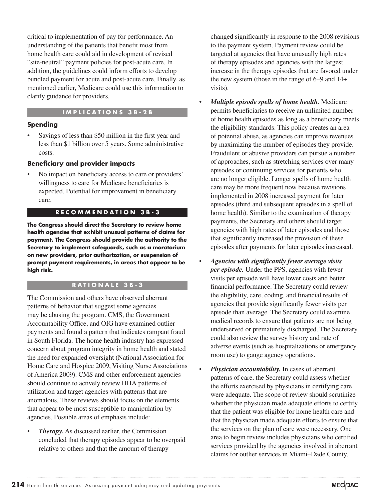critical to implementation of pay for performance. An understanding of the patients that benefit most from home health care could aid in development of revised "site-neutral" payment policies for post-acute care. In addition, the guidelines could inform efforts to develop bundled payment for acute and post-acute care. Finally, as mentioned earlier, Medicare could use this information to clarify guidance for providers.

### **I M P L I C A T I O N S 3 B - 2 B**

### **Spending**

Savings of less than \$50 million in the first year and less than \$1 billion over 5 years. Some administrative costs.

### **Beneficiary and provider impacts**

• No impact on beneficiary access to care or providers' willingness to care for Medicare beneficiaries is expected. Potential for improvement in beneficiary care.

### **R E C O M M E N D A T I O N 3 B - 3**

**The Congress should direct the Secretary to review home health agencies that exhibit unusual patterns of claims for payment. The Congress should provide the authority to the Secretary to implement safeguards, such as a moratorium on new providers, prior authorization, or suspension of prompt payment requirements, in areas that appear to be high risk.** 

### **R A T I O N A L E 3 B - 3**

The Commission and others have observed aberrant patterns of behavior that suggest some agencies may be abusing the program. CMS, the Government Accountability Office, and OIG have examined outlier payments and found a pattern that indicates rampant fraud in South Florida. The home health industry has expressed concern about program integrity in home health and stated the need for expanded oversight (National Association for Home Care and Hospice 2009, Visiting Nurse Associations of America 2009). CMS and other enforcement agencies should continue to actively review HHA patterns of utilization and target agencies with patterns that are anomalous. These reviews should focus on the elements that appear to be most susceptible to manipulation by agencies. Possible areas of emphasis include:

*Therapy.* As discussed earlier, the Commission concluded that therapy episodes appear to be overpaid relative to others and that the amount of therapy

changed significantly in response to the 2008 revisions to the payment system. Payment review could be targeted at agencies that have unusually high rates of therapy episodes and agencies with the largest increase in the therapy episodes that are favored under the new system (those in the range of 6–9 and 14+ visits).

- *Multiple episode spells of home health.* Medicare permits beneficiaries to receive an unlimited number of home health episodes as long as a beneficiary meets the eligibility standards. This policy creates an area of potential abuse, as agencies can improve revenues by maximizing the number of episodes they provide. Fraudulent or abusive providers can pursue a number of approaches, such as stretching services over many episodes or continuing services for patients who are no longer eligible. Longer spells of home health care may be more frequent now because revisions implemented in 2008 increased payment for later episodes (third and subsequent episodes in a spell of home health). Similar to the examination of therapy payments, the Secretary and others should target agencies with high rates of later episodes and those that significantly increased the provision of these episodes after payments for later episodes increased.
- *Agencies with significantly fewer average visits per episode.* Under the PPS, agencies with fewer visits per episode will have lower costs and better financial performance. The Secretary could review the eligibility, care, coding, and financial results of agencies that provide significantly fewer visits per episode than average. The Secretary could examine medical records to ensure that patients are not being underserved or prematurely discharged. The Secretary could also review the survey history and rate of adverse events (such as hospitalizations or emergency room use) to gauge agency operations.
- *Physician accountability.* In cases of aberrant patterns of care, the Secretary could assess whether the efforts exercised by physicians in certifying care were adequate. The scope of review should scrutinize whether the physician made adequate efforts to certify that the patient was eligible for home health care and that the physician made adequate efforts to ensure that the services on the plan of care were necessary. One area to begin review includes physicians who certified services provided by the agencies involved in aberrant claims for outlier services in Miami–Dade County.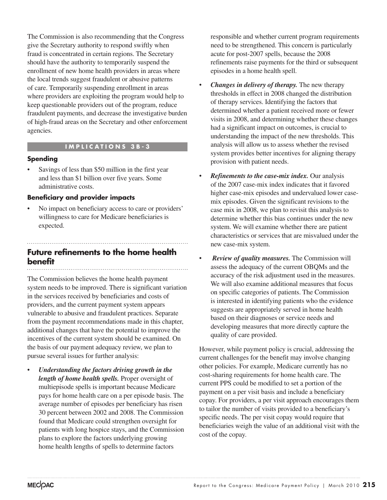The Commission is also recommending that the Congress give the Secretary authority to respond swiftly when fraud is concentrated in certain regions. The Secretary should have the authority to temporarily suspend the enrollment of new home health providers in areas where the local trends suggest fraudulent or abusive patterns of care. Temporarily suspending enrollment in areas where providers are exploiting the program would help to keep questionable providers out of the program, reduce fraudulent payments, and decrease the investigative burden of high-fraud areas on the Secretary and other enforcement agencies.

### **I M P L I C A T I O N S 3 B - 3**

### **Spending**

Savings of less than \$50 million in the first year and less than \$1 billion over five years. Some administrative costs.

### **Beneficiary and provider impacts**

• No impact on beneficiary access to care or providers' willingness to care for Medicare beneficiaries is expected.

# **Future refinements to the home health benefit**

The Commission believes the home health payment system needs to be improved. There is significant variation in the services received by beneficiaries and costs of providers, and the current payment system appears vulnerable to abusive and fraudulent practices. Separate from the payment recommendations made in this chapter, additional changes that have the potential to improve the incentives of the current system should be examined. On the basis of our payment adequacy review, we plan to pursue several issues for further analysis:

• *Understanding the factors driving growth in the length of home health spells.* Proper oversight of multiepisode spells is important because Medicare pays for home health care on a per episode basis. The average number of episodes per beneficiary has risen 30 percent between 2002 and 2008. The Commission found that Medicare could strengthen oversight for patients with long hospice stays, and the Commission plans to explore the factors underlying growing home health lengths of spells to determine factors

responsible and whether current program requirements need to be strengthened. This concern is particularly acute for post-2007 spells, because the 2008 refinements raise payments for the third or subsequent episodes in a home health spell.

- *Changes in delivery of therapy.* The new therapy thresholds in effect in 2008 changed the distribution of therapy services. Identifying the factors that determined whether a patient received more or fewer visits in 2008, and determining whether these changes had a significant impact on outcomes, is crucial to understanding the impact of the new thresholds. This analysis will allow us to assess whether the revised system provides better incentives for aligning therapy provision with patient needs.
- *Refinements to the case-mix index.* Our analysis of the 2007 case-mix index indicates that it favored higher case-mix episodes and undervalued lower casemix episodes. Given the significant revisions to the case mix in 2008, we plan to revisit this analysis to determine whether this bias continues under the new system. We will examine whether there are patient characteristics or services that are misvalued under the new case-mix system.
- *Review of quality measures.* The Commission will assess the adequacy of the current OBQMs and the accuracy of the risk adjustment used in the measures. We will also examine additional measures that focus on specific categories of patients. The Commission is interested in identifying patients who the evidence suggests are appropriately served in home health based on their diagnoses or service needs and developing measures that more directly capture the quality of care provided.

However, while payment policy is crucial, addressing the current challenges for the benefit may involve changing other policies. For example, Medicare currently has no cost-sharing requirements for home health care. The current PPS could be modified to set a portion of the payment on a per visit basis and include a beneficiary copay. For providers, a per visit approach encourages them to tailor the number of visits provided to a beneficiary's specific needs. The per visit copay would require that beneficiaries weigh the value of an additional visit with the cost of the copay.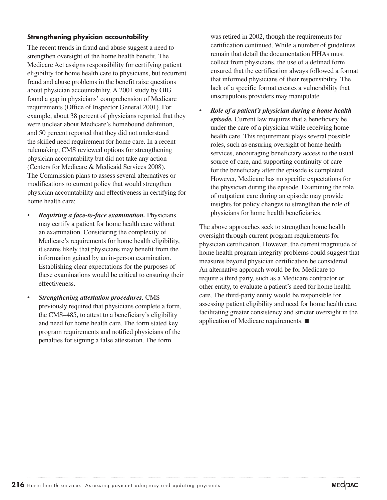### **Strengthening physician accountability**

The recent trends in fraud and abuse suggest a need to strengthen oversight of the home health benefit. The Medicare Act assigns responsibility for certifying patient eligibility for home health care to physicians, but recurrent fraud and abuse problems in the benefit raise questions about physician accountability. A 2001 study by OIG found a gap in physicians' comprehension of Medicare requirements (Office of Inspector General 2001). For example, about 38 percent of physicians reported that they were unclear about Medicare's homebound definition, and 50 percent reported that they did not understand the skilled need requirement for home care. In a recent rulemaking, CMS reviewed options for strengthening physician accountability but did not take any action (Centers for Medicare & Medicaid Services 2008). The Commission plans to assess several alternatives or modifications to current policy that would strengthen physician accountability and effectiveness in certifying for home health care:

- *Requiring a face-to-face examination.* Physicians may certify a patient for home health care without an examination. Considering the complexity of Medicare's requirements for home health eligibility, it seems likely that physicians may benefit from the information gained by an in-person examination. Establishing clear expectations for the purposes of these examinations would be critical to ensuring their effectiveness.
- *Strengthening attestation procedures.* CMS previously required that physicians complete a form, the CMS–485, to attest to a beneficiary's eligibility and need for home health care. The form stated key program requirements and notified physicians of the penalties for signing a false attestation. The form

was retired in 2002, though the requirements for certification continued. While a number of guidelines remain that detail the documentation HHAs must collect from physicians, the use of a defined form ensured that the certification always followed a format that informed physicians of their responsibility. The lack of a specific format creates a vulnerability that unscrupulous providers may manipulate.

• *Role of a patient's physician during a home health episode.* Current law requires that a beneficiary be under the care of a physician while receiving home health care. This requirement plays several possible roles, such as ensuring oversight of home health services, encouraging beneficiary access to the usual source of care, and supporting continuity of care for the beneficiary after the episode is completed. However, Medicare has no specific expectations for the physician during the episode. Examining the role of outpatient care during an episode may provide insights for policy changes to strengthen the role of physicians for home health beneficiaries.

The above approaches seek to strengthen home health oversight through current program requirements for physician certification. However, the current magnitude of home health program integrity problems could suggest that measures beyond physician certification be considered. An alternative approach would be for Medicare to require a third party, such as a Medicare contractor or other entity, to evaluate a patient's need for home health care. The third-party entity would be responsible for assessing patient eligibility and need for home health care, facilitating greater consistency and stricter oversight in the application of Medicare requirements. ■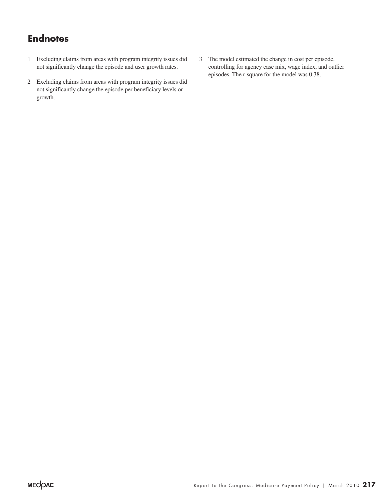# **Endnotes**

- 1 Excluding claims from areas with program integrity issues did not significantly change the episode and user growth rates.
- 2 Excluding claims from areas with program integrity issues did not significantly change the episode per beneficiary levels or growth.
- 3 The model estimated the change in cost per episode, controlling for agency case mix, wage index, and outlier episodes. The r-square for the model was 0.38.